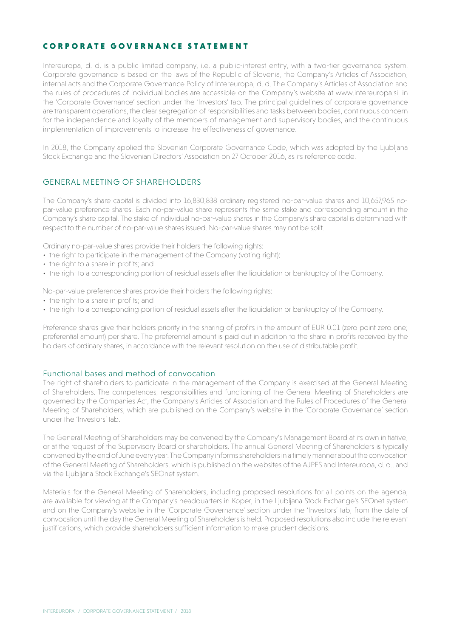# CORPORATE GOVERNANCE STATEMENT

Intereuropa, d. d. is a public limited company, i.e. a public-interest entity, with a two-tier governance system. Corporate governance is based on the laws of the Republic of Slovenia, the Company's Articles of Association, internal acts and the Corporate Governance Policy of Intereuropa, d. d. The Company's Articles of Association and the rules of procedures of individual bodies are accessible on the Company's website at www.intereuropa.si, in the 'Corporate Governance' section under the 'Investors' tab. The principal guidelines of corporate governance are transparent operations, the clear segregation of responsibilities and tasks between bodies, continuous concern for the independence and loyalty of the members of management and supervisory bodies, and the continuous implementation of improvements to increase the effectiveness of governance.

In 2018, the Company applied the Slovenian Corporate Governance Code, which was adopted by the Ljubljana Stock Exchange and the Slovenian Directors' Association on 27 October 2016, as its reference code.

# GENERAL MEETING OF SHAREHOLDERS

The Company's share capital is divided into 16,830,838 ordinary registered no-par-value shares and 10,657,965 nopar-value preference shares. Each no-par-value share represents the same stake and corresponding amount in the Company's share capital. The stake of individual no-par-value shares in the Company's share capital is determined with respect to the number of no-par-value shares issued. No-par-value shares may not be split.

Ordinary no-par-value shares provide their holders the following rights:

- the right to participate in the management of the Company (voting right);
- the right to a share in profits; and
- the right to a corresponding portion of residual assets after the liquidation or bankruptcy of the Company.

No-par-value preference shares provide their holders the following rights:

- the right to a share in profits; and
- the right to a corresponding portion of residual assets after the liquidation or bankruptcy of the Company.

Preference shares give their holders priority in the sharing of profits in the amount of EUR 0.01 (zero point zero one; preferential amount) per share. The preferential amount is paid out in addition to the share in profits received by the holders of ordinary shares, in accordance with the relevant resolution on the use of distributable profit.

## Functional bases and method of convocation

The right of shareholders to participate in the management of the Company is exercised at the General Meeting of Shareholders. The competences, responsibilities and functioning of the General Meeting of Shareholders are governed by the Companies Act, the Company's Articles of Association and the Rules of Procedures of the General Meeting of Shareholders, which are published on the Company's website in the 'Corporate Governance' section under the 'Investors' tab.

The General Meeting of Shareholders may be convened by the Company's Management Board at its own initiative, or at the request of the Supervisory Board or shareholders. The annual General Meeting of Shareholders is typically convened by the end of June every year. The Company informs shareholders in a timely manner about the convocation of the General Meeting of Shareholders, which is published on the websites of the AJPES and Intereuropa, d. d., and via the Ljubljana Stock Exchange's SEOnet system.

Materials for the General Meeting of Shareholders, including proposed resolutions for all points on the agenda, are available for viewing at the Company's headquarters in Koper, in the Ljubljana Stock Exchange's SEOnet system and on the Company's website in the 'Corporate Governance' section under the 'Investors' tab, from the date of convocation until the day the General Meeting of Shareholders is held. Proposed resolutions also include the relevant justifications, which provide shareholders sufficient information to make prudent decisions.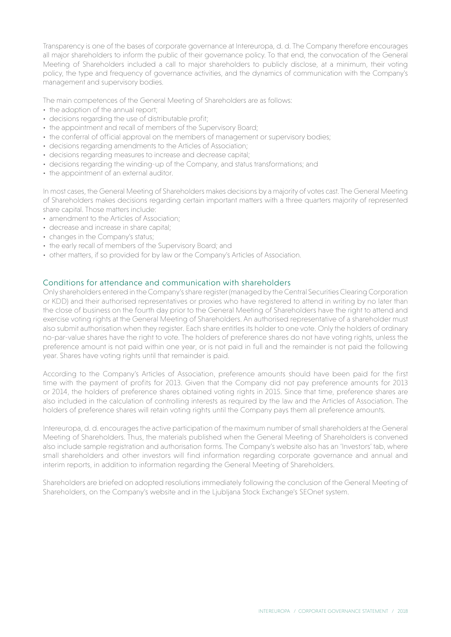Transparency is one of the bases of corporate governance at Intereuropa, d. d. The Company therefore encourages all major shareholders to inform the public of their governance policy. To that end, the convocation of the General Meeting of Shareholders included a call to major shareholders to publicly disclose, at a minimum, their voting policy, the type and frequency of governance activities, and the dynamics of communication with the Company's management and supervisory bodies.

The main competences of the General Meeting of Shareholders are as follows:

- the adoption of the annual report;
- decisions regarding the use of distributable profit;
- the appointment and recall of members of the Supervisory Board;
- the conferral of official approval on the members of management or supervisory bodies;
- decisions regarding amendments to the Articles of Association;
- decisions regarding measures to increase and decrease capital;
- decisions regarding the winding-up of the Company, and status transformations; and
- the appointment of an external auditor.

In most cases, the General Meeting of Shareholders makes decisions by a majority of votes cast. The General Meeting of Shareholders makes decisions regarding certain important matters with a three quarters majority of represented share capital. Those matters include:

- amendment to the Articles of Association;
- decrease and increase in share capital;
- changes in the Company's status;
- the early recall of members of the Supervisory Board; and
- other matters, if so provided for by law or the Company's Articles of Association.

## Conditions for attendance and communication with shareholders

Only shareholders entered in the Company's share register (managed by the Central Securities Clearing Corporation or KDD) and their authorised representatives or proxies who have registered to attend in writing by no later than the close of business on the fourth day prior to the General Meeting of Shareholders have the right to attend and exercise voting rights at the General Meeting of Shareholders. An authorised representative of a shareholder must also submit authorisation when they register. Each share entitles its holder to one vote. Only the holders of ordinary no-par-value shares have the right to vote. The holders of preference shares do not have voting rights, unless the preference amount is not paid within one year, or is not paid in full and the remainder is not paid the following year. Shares have voting rights until that remainder is paid.

According to the Company's Articles of Association, preference amounts should have been paid for the first time with the payment of profits for 2013. Given that the Company did not pay preference amounts for 2013 or 2014, the holders of preference shares obtained voting rights in 2015. Since that time, preference shares are also included in the calculation of controlling interests as required by the law and the Articles of Association. The holders of preference shares will retain voting rights until the Company pays them all preference amounts.

Intereuropa, d. d. encourages the active participation of the maximum number of small shareholders at the General Meeting of Shareholders. Thus, the materials published when the General Meeting of Shareholders is convened also include sample registration and authorisation forms. The Company's website also has an 'Investors' tab, where small shareholders and other investors will find information regarding corporate governance and annual and interim reports, in addition to information regarding the General Meeting of Shareholders.

Shareholders are briefed on adopted resolutions immediately following the conclusion of the General Meeting of Shareholders, on the Company's website and in the Ljubljana Stock Exchange's SEOnet system.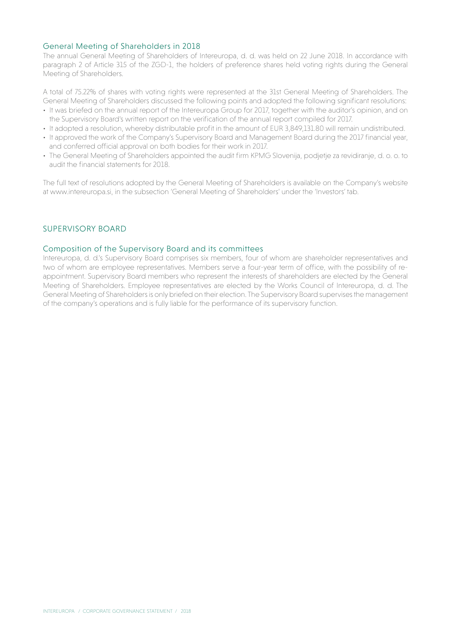## General Meeting of Shareholders in 2018

The annual General Meeting of Shareholders of Intereuropa, d. d. was held on 22 June 2018. In accordance with paragraph 2 of Article 315 of the ZGD-1, the holders of preference shares held voting rights during the General Meeting of Shareholders.

A total of 75.22% of shares with voting rights were represented at the 31st General Meeting of Shareholders. The General Meeting of Shareholders discussed the following points and adopted the following significant resolutions:

- It was briefed on the annual report of the Intereuropa Group for 2017, together with the auditor's opinion, and on the Supervisory Board's written report on the verification of the annual report compiled for 2017.
- It adopted a resolution, whereby distributable profit in the amount of EUR 3,849,131.80 will remain undistributed.
- It approved the work of the Company's Supervisory Board and Management Board during the 2017 financial year, and conferred official approval on both bodies for their work in 2017.
- The General Meeting of Shareholders appointed the audit firm KPMG Slovenija, podjetje za revidiranje, d. o. o. to audit the financial statements for 2018.

The full text of resolutions adopted by the General Meeting of Shareholders is available on the Company's website at www.intereuropa.si, in the subsection 'General Meeting of Shareholders' under the 'Investors' tab.

## SUPERVISORY BOARD

#### Composition of the Supervisory Board and its committees

Intereuropa, d. d.'s Supervisory Board comprises six members, four of whom are shareholder representatives and two of whom are employee representatives. Members serve a four-year term of office, with the possibility of reappointment. Supervisory Board members who represent the interests of shareholders are elected by the General Meeting of Shareholders. Employee representatives are elected by the Works Council of Intereuropa, d. d. The General Meeting of Shareholders is only briefed on their election. The Supervisory Board supervises the management of the company's operations and is fully liable for the performance of its supervisory function.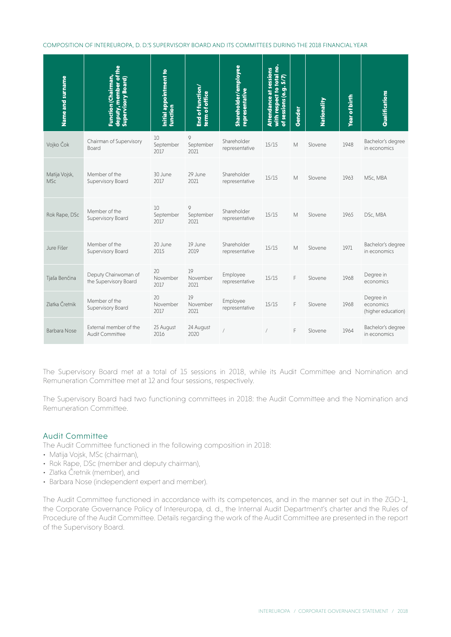COMPOSITION OF INTEREUROPA, D. D.'S SUPERVISORY BOARD AND ITS COMMITTEES DURING THE 2018 FINANCIAL YEAR

| Attendance at sessions<br>with respect to total no.<br>of sessions (e.g. 5/7) | Gender                                                                                                                                                      | Nationality                                                                      | Year of birth | Qualifications                                                                                            |
|-------------------------------------------------------------------------------|-------------------------------------------------------------------------------------------------------------------------------------------------------------|----------------------------------------------------------------------------------|---------------|-----------------------------------------------------------------------------------------------------------|
| Shareholder<br>15/15<br>representative                                        | М                                                                                                                                                           | Slovene                                                                          | 1948          | Bachelor's degree<br>in economics                                                                         |
| 15/15                                                                         |                                                                                                                                                             | Slovene                                                                          | 1963          | MSc, MBA                                                                                                  |
| 15/15                                                                         |                                                                                                                                                             | Slovene                                                                          | 1965          | DSc, MBA                                                                                                  |
| 15/15                                                                         |                                                                                                                                                             | Slovene                                                                          | 1971          | Bachelor's degree<br>in economics                                                                         |
| 15/15                                                                         |                                                                                                                                                             | Slovene                                                                          | 1968          | Degree in<br>economics                                                                                    |
| 15/15                                                                         |                                                                                                                                                             | Slovene                                                                          | 1968          | Degree in<br>economics<br>(higher education)                                                              |
| $\sqrt{2}$                                                                    |                                                                                                                                                             | Slovene                                                                          | 1964          | Bachelor's degree<br>in economics                                                                         |
|                                                                               | Shareholder<br>representative<br>Shareholder<br>representative<br>Shareholder<br>representative<br>Employee<br>representative<br>Employee<br>representative | М<br>М<br>М<br>Remuneration Committee met at 12 and four sessions, respectively. |               | The Supervisory Board met at a total of 15 sessions in 2018, while its Audit Committee and Nomination and |

#### Audit Committee

- Matija Vojsk, MSc (chairman),
- Rok Rape, DSc (member and deputy chairman),
- Zlatka Čretnik (member), and
- Barbara Nose (independent expert and member).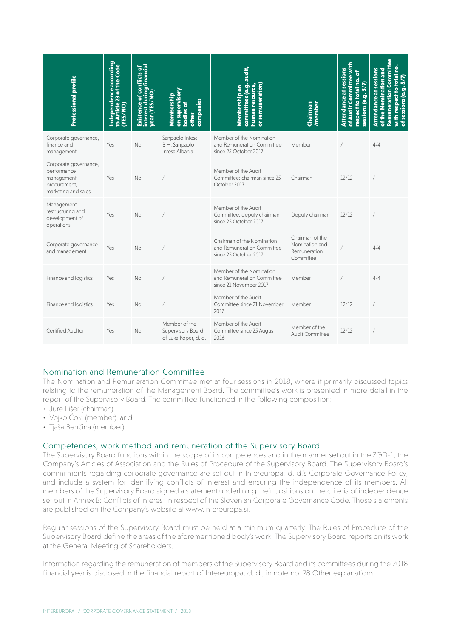| Professional profile                                                                       | naependence according<br>o Article 23 of the Code<br>YES/NO)<br>$\bullet$ | Existence of conflicts of<br>interest during financial<br>year (YES/NO) | on supervisory<br>Membership<br>companies<br><b>bodies</b> of<br>other | audit,<br>committees (e.g. a<br>human resource,<br>or remuneration)<br>Membership on | Chairman<br>/member                                            | Attendance at sessions<br>of Audit Committee with<br>respect to total no. of<br>sessions (e.g. 5/7) | <b>Remuneration Committee</b><br>with respect to total no.<br><b>Attendance at sessions</b><br>of the Nomination and<br>of sessions (e.g. 5/7) |
|--------------------------------------------------------------------------------------------|---------------------------------------------------------------------------|-------------------------------------------------------------------------|------------------------------------------------------------------------|--------------------------------------------------------------------------------------|----------------------------------------------------------------|-----------------------------------------------------------------------------------------------------|------------------------------------------------------------------------------------------------------------------------------------------------|
| Corporate governance,<br>finance and<br>management                                         | Yes                                                                       | No                                                                      | Sanpaolo Intesa<br>BIH, Sanpaolo<br>Intesa Albania                     | Member of the Nomination<br>and Remuneration Committee<br>since 25 October 2017      | Member                                                         |                                                                                                     | 4/4                                                                                                                                            |
| Corporate governance,<br>performance<br>management,<br>procurement,<br>marketing and sales | Yes                                                                       | <b>No</b>                                                               |                                                                        | Member of the Audit<br>Committee; chairman since 25<br>October 2017                  | Chairman                                                       | 12/12                                                                                               |                                                                                                                                                |
| Management,<br>restructuring and<br>development of<br>operations                           | Yes                                                                       | No                                                                      |                                                                        | Member of the Audit<br>Committee; deputy chairman<br>since 25 October 2017           | Deputy chairman                                                | 12/12                                                                                               |                                                                                                                                                |
| Corporate governance<br>and management                                                     | Yes                                                                       | <b>No</b>                                                               |                                                                        | Chairman of the Nomination<br>and Remuneration Committee<br>since 25 October 2017    | Chairman of the<br>Nomination and<br>Remuneration<br>Committee |                                                                                                     | 4/4                                                                                                                                            |
| Finance and logistics                                                                      | Yes                                                                       | No                                                                      |                                                                        | Member of the Nomination<br>and Remuneration Committee<br>since 21 November 2017     | Member                                                         |                                                                                                     | 4/4                                                                                                                                            |
| Finance and logistics                                                                      | Yes                                                                       | No                                                                      |                                                                        | Member of the Audit<br>Committee since 21 November<br>2017                           | Member                                                         | 12/12                                                                                               |                                                                                                                                                |
| Certified Auditor                                                                          | Yes                                                                       | <b>No</b>                                                               | Member of the<br>Supervisory Board<br>of Luka Koper, d. d.             | Member of the Audit<br>Committee since 25 August<br>2016                             | Member of the<br>Audit Committee                               | 12/12                                                                                               |                                                                                                                                                |

# Nomination and Remuneration Committee

The Nomination and Remuneration Committee met at four sessions in 2018, where it primarily discussed topics relating to the remuneration of the Management Board. The committee's work is presented in more detail in the report of the Supervisory Board. The committee functioned in the following composition:

- Jure Fišer (chairman),
- • Vojko Čok, (member), and
- • Tjaša Benčina (member).

#### Competences, work method and remuneration of the Supervisory Board

The Supervisory Board functions within the scope of its competences and in the manner set out in the ZGD-1, the Company's Articles of Association and the Rules of Procedure of the Supervisory Board. The Supervisory Board's commitments regarding corporate governance are set out in Intereuropa, d. d.'s Corporate Governance Policy, and include a system for identifying conflicts of interest and ensuring the independence of its members. All members of the Supervisory Board signed a statement underlining their positions on the criteria of independence set out in Annex B: Conflicts of interest in respect of the Slovenian Corporate Governance Code. Those statements are published on the Company's website at www.intereuropa.si.

Regular sessions of the Supervisory Board must be held at a minimum quarterly. The Rules of Procedure of the Supervisory Board define the areas of the aforementioned body's work. The Supervisory Board reports on its work at the General Meeting of Shareholders.

Information regarding the remuneration of members of the Supervisory Board and its committees during the 2018 financial year is disclosed in the financial report of Intereuropa, d. d., in note no. 28 Other explanations.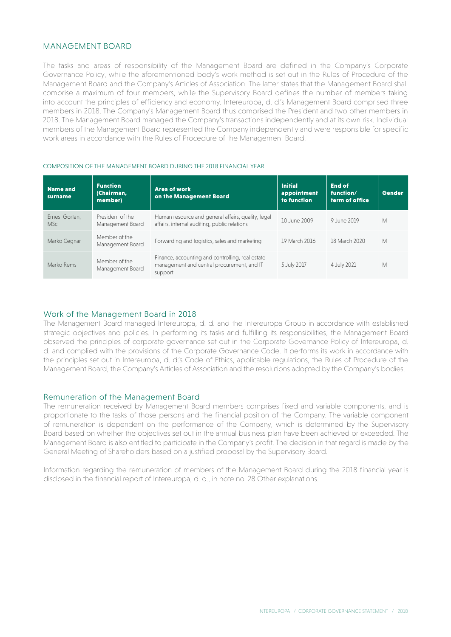## MANAGEMENT BOARD

The tasks and areas of responsibility of the Management Board are defined in the Company's Corporate Governance Policy, while the aforementioned body's work method is set out in the Rules of Procedure of the Management Board and the Company's Articles of Association. The latter states that the Management Board shall comprise a maximum of four members, while the Supervisory Board defines the number of members taking into account the principles of efficiency and economy. Intereuropa, d. d.'s Management Board comprised three members in 2018. The Company's Management Board thus comprised the President and two other members in 2018. The Management Board managed the Company's transactions independently and at its own risk. Individual members of the Management Board represented the Company independently and were responsible for specific work areas in accordance with the Rules of Procedure of the Management Board.

#### COMPOSITION OF THE MANAGEMENT BOARD DURING THE 2018 FINANCIAL YEAR

| Name and<br><b>Surname</b>   | <b>Function</b><br>(Chairman,<br>member) | <b>Area of work</b><br>on the Management Board                                                            | <b>Initial</b><br>appointment<br>to function | <b>End of</b><br>function/<br>term of office | Gender |
|------------------------------|------------------------------------------|-----------------------------------------------------------------------------------------------------------|----------------------------------------------|----------------------------------------------|--------|
| Ernest Gortan,<br><b>MSc</b> | President of the<br>Management Board     | Human resource and general affairs, quality, legal<br>affairs, internal auditing, public relations        | 10 June 2009                                 | 9 June 2019                                  | M      |
| Marko Cegnar                 | Member of the<br>Management Board        | Forwarding and logistics, sales and marketing                                                             | 19 March 2016                                | 18 March 2020                                | M      |
| Marko Rems                   | Member of the<br>Management Board        | Finance, accounting and controlling, real estate<br>management and central procurement, and IT<br>support | 5 July 2017                                  | 4 July 2021                                  | M      |

### Work of the Management Board in 2018

The Management Board managed Intereuropa, d. d. and the Intereuropa Group in accordance with established strategic objectives and policies. In performing its tasks and fulfilling its responsibilities, the Management Board observed the principles of corporate governance set out in the Corporate Governance Policy of Intereuropa, d. d. and complied with the provisions of the Corporate Governance Code. It performs its work in accordance with the principles set out in Intereuropa, d. d.'s Code of Ethics, applicable regulations, the Rules of Procedure of the Management Board, the Company's Articles of Association and the resolutions adopted by the Company's bodies.

#### Remuneration of the Management Board

The remuneration received by Management Board members comprises fixed and variable components, and is proportionate to the tasks of those persons and the financial position of the Company. The variable component of remuneration is dependent on the performance of the Company, which is determined by the Supervisory Board based on whether the objectives set out in the annual business plan have been achieved or exceeded. The Management Board is also entitled to participate in the Company's profit. The decision in that regard is made by the General Meeting of Shareholders based on a justified proposal by the Supervisory Board.

Information regarding the remuneration of members of the Management Board during the 2018 financial year is disclosed in the financial report of Intereuropa, d. d., in note no. 28 Other explanations.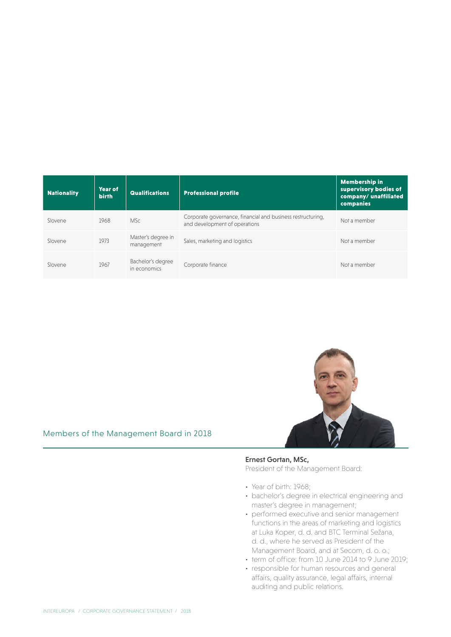| <b>Nationality</b> | Year of<br>birth | <b>Qualifications</b>             | <b>Professional profile</b>                                                                  | <b>Membership in</b><br>supervisory bodies of<br>company/unaffiliated<br>companies |
|--------------------|------------------|-----------------------------------|----------------------------------------------------------------------------------------------|------------------------------------------------------------------------------------|
| Slovene            | 1968             | <b>MSc</b>                        | Corporate governance, financial and business restructuring,<br>and development of operations | Not a member                                                                       |
| Slovene            | 1973             | Master's degree in<br>management  | Sales, marketing and logistics                                                               | Not a member                                                                       |
| Slovene            | 1967             | Bachelor's degree<br>in economics | Corporate finance                                                                            | Not a member                                                                       |



### Ernest Gortan, MSc,

President of the Management Board:

- Year of birth: 1968;
- bachelor's degree in electrical engineering and master's degree in management;
- performed executive and senior management functions in the areas of marketing and logistics at Luka Koper, d. d. and BTC Terminal Sežana, d. d., where he served as President of the Management Board, and at Secom, d. o. o.;
- term of office: from 10 June 2014 to 9 June 2019;
- responsible for human resources and general affairs, quality assurance, legal affairs, internal auditing and public relations.

## Members of the Management Board in 2018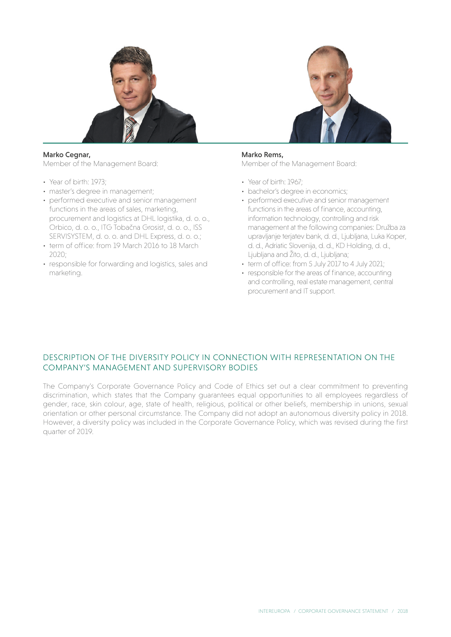

## Marko Cegnar,

Member of the Management Board:

- Year of birth: 1973:
- master's degree in management;
- performed executive and senior management functions in the areas of sales, marketing, procurement and logistics at DHL logistika, d. o. o., Orbico, d. o. o., ITG Tobačna Grosist, d. o. o., ISS SERVISYSTEM, d. o. o. and DHL Express, d. o. o.;
- term of office: from 19 March 2016 to 18 March  $2020:$
- responsible for forwarding and logistics, sales and marketing.



# Marko Rems,

Member of the Management Board:

- Year of birth: 1967:
- bachelor's degree in economics;
- performed executive and senior management functions in the areas of finance, accounting, information technology, controlling and risk management at the following companies: Družba za upravljanje terjatev bank, d. d., Ljubljana, Luka Koper, d. d., Adriatic Slovenija, d. d., KD Holding, d. d., Ljubljana and Žito, d. d., Ljubljana;
- term of office: from 5 July 2017 to 4 July 2021;
- responsible for the areas of finance, accounting and controlling, real estate management, central procurement and IT support.

# DESCRIPTION OF THE DIVERSITY POLICY IN CONNECTION WITH REPRESENTATION ON THE COMPANY'S MANAGEMENT AND SUPERVISORY BODIES

The Company's Corporate Governance Policy and Code of Ethics set out a clear commitment to preventing discrimination, which states that the Company guarantees equal opportunities to all employees regardless of gender, race, skin colour, age, state of health, religious, political or other beliefs, membership in unions, sexual orientation or other personal circumstance. The Company did not adopt an autonomous diversity policy in 2018. However, a diversity policy was included in the Corporate Governance Policy, which was revised during the first quarter of 2019.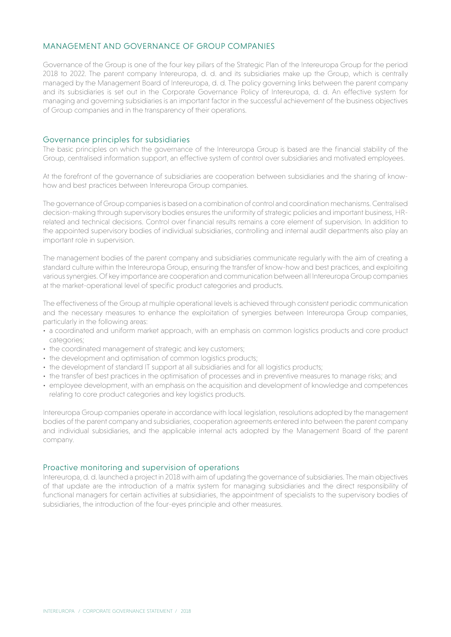# MANAGEMENT AND GOVERNANCE OF GROUP COMPANIES

Governance of the Group is one of the four key pillars of the Strategic Plan of the Intereuropa Group for the period 2018 to 2022. The parent company Intereuropa, d. d. and its subsidiaries make up the Group, which is centrally managed by the Management Board of Intereuropa, d. d. The policy governing links between the parent company and its subsidiaries is set out in the Corporate Governance Policy of Intereuropa, d. d. An effective system for managing and governing subsidiaries is an important factor in the successful achievement of the business objectives of Group companies and in the transparency of their operations.

#### Governance principles for subsidiaries

The basic principles on which the governance of the Intereuropa Group is based are the financial stability of the Group, centralised information support, an effective system of control over subsidiaries and motivated employees.

At the forefront of the governance of subsidiaries are cooperation between subsidiaries and the sharing of knowhow and best practices between Intereuropa Group companies.

The governance of Group companies is based on a combination of control and coordination mechanisms. Centralised decision-making through supervisory bodies ensures the uniformity of strategic policies and important business, HRrelated and technical decisions. Control over financial results remains a core element of supervision. In addition to the appointed supervisory bodies of individual subsidiaries, controlling and internal audit departments also play an important role in supervision.

The management bodies of the parent company and subsidiaries communicate regularly with the aim of creating a standard culture within the Intereuropa Group, ensuring the transfer of know-how and best practices, and exploiting various synergies. Of key importance are cooperation and communication between all Intereuropa Group companies at the market-operational level of specific product categories and products.

The effectiveness of the Group at multiple operational levels is achieved through consistent periodic communication and the necessary measures to enhance the exploitation of synergies between Intereuropa Group companies, particularly in the following areas:

- a coordinated and uniform market approach, with an emphasis on common logistics products and core product categories;
- the coordinated management of strategic and key customers;
- the development and optimisation of common logistics products;
- the development of standard IT support at all subsidiaries and for all logistics products;
- the transfer of best practices in the optimisation of processes and in preventive measures to manage risks; and
- employee development, with an emphasis on the acquisition and development of knowledge and competences relating to core product categories and key logistics products.

Intereuropa Group companies operate in accordance with local legislation, resolutions adopted by the management bodies of the parent company and subsidiaries, cooperation agreements entered into between the parent company and individual subsidiaries, and the applicable internal acts adopted by the Management Board of the parent company.

#### Proactive monitoring and supervision of operations

Intereuropa, d. d. launched a project in 2018 with aim of updating the governance of subsidiaries. The main objectives of that update are the introduction of a matrix system for managing subsidiaries and the direct responsibility of functional managers for certain activities at subsidiaries, the appointment of specialists to the supervisory bodies of subsidiaries, the introduction of the four-eyes principle and other measures.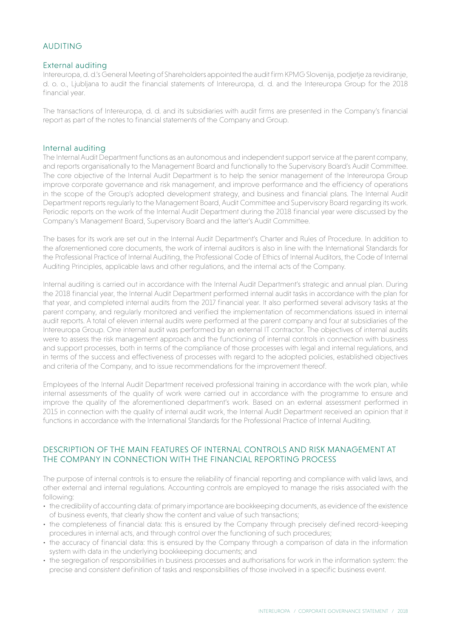# AUDITING

#### External auditing

Intereuropa, d. d.'s General Meeting of Shareholders appointed the audit firm KPMG Slovenija, podjetje za revidiranje, d. o. o., Ljubljana to audit the financial statements of Intereuropa, d. d. and the Intereuropa Group for the 2018 financial year.

The transactions of Intereuropa, d. d. and its subsidiaries with audit firms are presented in the Company's financial report as part of the notes to financial statements of the Company and Group.

### Internal auditing

The Internal Audit Department functions as an autonomous and independent support service at the parent company, and reports organisationally to the Management Board and functionally to the Supervisory Board's Audit Committee. The core objective of the Internal Audit Department is to help the senior management of the Intereuropa Group improve corporate governance and risk management, and improve performance and the efficiency of operations in the scope of the Group's adopted development strategy, and business and financial plans. The Internal Audit Department reports regularly to the Management Board, Audit Committee and Supervisory Board regarding its work. Periodic reports on the work of the Internal Audit Department during the 2018 financial year were discussed by the Company's Management Board, Supervisory Board and the latter's Audit Committee.

The bases for its work are set out in the Internal Audit Department's Charter and Rules of Procedure. In addition to the aforementioned core documents, the work of internal auditors is also in line with the International Standards for the Professional Practice of Internal Auditing, the Professional Code of Ethics of Internal Auditors, the Code of Internal Auditing Principles, applicable laws and other regulations, and the internal acts of the Company.

Internal auditing is carried out in accordance with the Internal Audit Department's strategic and annual plan. During the 2018 financial year, the Internal Audit Department performed internal audit tasks in accordance with the plan for that year, and completed internal audits from the 2017 financial year. It also performed several advisory tasks at the parent company, and regularly monitored and verified the implementation of recommendations issued in internal audit reports. A total of eleven internal audits were performed at the parent company and four at subsidiaries of the Intereuropa Group. One internal audit was performed by an external IT contractor. The objectives of internal audits were to assess the risk management approach and the functioning of internal controls in connection with business and support processes, both in terms of the compliance of those processes with legal and internal regulations, and in terms of the success and effectiveness of processes with regard to the adopted policies, established objectives and criteria of the Company, and to issue recommendations for the improvement thereof.

Employees of the Internal Audit Department received professional training in accordance with the work plan, while internal assessments of the quality of work were carried out in accordance with the programme to ensure and improve the quality of the aforementioned department's work. Based on an external assessment performed in 2015 in connection with the quality of internal audit work, the Internal Audit Department received an opinion that it functions in accordance with the International Standards for the Professional Practice of Internal Auditing.

# DESCRIPTION OF THE MAIN FEATURES OF INTERNAL CONTROLS AND RISK MANAGEMENT AT THE COMPANY IN CONNECTION WITH THE FINANCIAL REPORTING PROCESS

The purpose of internal controls is to ensure the reliability of financial reporting and compliance with valid laws, and other external and internal regulations. Accounting controls are employed to manage the risks associated with the following:

- • the credibility of accounting data: of primary importance are bookkeeping documents, as evidence of the existence of business events, that clearly show the content and value of such transactions;
- the completeness of financial data: this is ensured by the Company through precisely defined record-keeping procedures in internal acts, and through control over the functioning of such procedures;
- the accuracy of financial data: this is ensured by the Company through a comparison of data in the information system with data in the underlying bookkeeping documents; and
- the segregation of responsibilities in business processes and authorisations for work in the information system: the precise and consistent definition of tasks and responsibilities of those involved in a specific business event.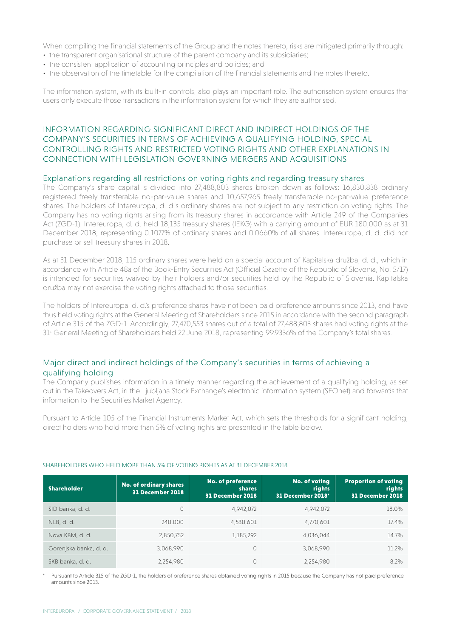When compiling the financial statements of the Group and the notes thereto, risks are mitigated primarily through:

- the transparent organisational structure of the parent company and its subsidiaries;
- the consistent application of accounting principles and policies; and
- the observation of the timetable for the compilation of the financial statements and the notes thereto.

The information system, with its built-in controls, also plays an important role. The authorisation system ensures that users only execute those transactions in the information system for which they are authorised.

# INFORMATION REGARDING SIGNIFICANT DIRECT AND INDIRECT HOLDINGS OF THE COMPANY'S SECURITIES IN TERMS OF ACHIEVING A QUALIFYING HOLDING, SPECIAL CONTROLLING RIGHTS AND RESTRICTED VOTING RIGHTS AND OTHER EXPLANATIONS IN CONNECTION WITH LEGISLATION GOVERNING MERGERS AND ACQUISITIONS

#### Explanations regarding all restrictions on voting rights and regarding treasury shares

The Company's share capital is divided into 27,488,803 shares broken down as follows: 16,830,838 ordinary registered freely transferable no-par-value shares and 10,657,965 freely transferable no-par-value preference shares. The holders of Intereuropa, d. d.'s ordinary shares are not subject to any restriction on voting rights. The Company has no voting rights arising from its treasury shares in accordance with Article 249 of the Companies Act (ZGD-1). Intereuropa, d. d. held 18,135 treasury shares (IEKG) with a carrying amount of EUR 180,000 as at 31 December 2018, representing 0.1077% of ordinary shares and 0.0660% of all shares. Intereuropa, d. d. did not purchase or sell treasury shares in 2018.

As at 31 December 2018, 115 ordinary shares were held on a special account of Kapitalska družba, d. d., which in accordance with Article 48a of the Book-Entry Securities Act (Official Gazette of the Republic of Slovenia, No. 5/17) is intended for securities waived by their holders and/or securities held by the Republic of Slovenia. Kapitalska družba may not exercise the voting rights attached to those securities.

The holders of Intereuropa, d. d.'s preference shares have not been paid preference amounts since 2013, and have thus held voting rights at the General Meeting of Shareholders since 2015 in accordance with the second paragraph of Article 315 of the ZGD-1. Accordingly, 27,470,553 shares out of a total of 27,488,803 shares had voting rights at the 31st General Meeting of Shareholders held 22 June 2018, representing 99.9336% of the Company's total shares.

# Major direct and indirect holdings of the Company's securities in terms of achieving a qualifying holding

The Company publishes information in a timely manner regarding the achievement of a qualifying holding, as set out in the Takeovers Act, in the Ljubljana Stock Exchange's electronic information system (SEOnet) and forwards that information to the Securities Market Agency.

Pursuant to Article 105 of the Financial Instruments Market Act, which sets the thresholds for a significant holding, direct holders who hold more than 5% of voting rights are presented in the table below.

| <b>Shareholder</b>     | No. of ordinary shares<br>31 December 2018 | <b>No. of preference</b><br><b>shares</b><br>31 December 2018 | <b>No. of voting</b><br>rights<br>31 December 2018* | <b>Proportion of voting</b><br>rights<br>31 December 2018 |
|------------------------|--------------------------------------------|---------------------------------------------------------------|-----------------------------------------------------|-----------------------------------------------------------|
| SID banka, d. d.       | 0                                          | 4,942,072                                                     | 4,942,072                                           | 18.0%                                                     |
| NLB, d. d.             | 240,000                                    | 4,530,601                                                     | 4,770,601                                           | 17.4%                                                     |
| Nova KBM, d. d.        | 2,850,752                                  | 1,185,292                                                     | 4,036,044                                           | 14.7%                                                     |
| Gorenjska banka, d. d. | 3,068,990                                  | $\Omega$                                                      | 3,068,990                                           | 11.2%                                                     |
| SKB banka, d. d.       | 2,254,980                                  | 0                                                             | 2,254,980                                           | 8.2%                                                      |

#### SHAREHOLDERS WHO HELD MORE THAN 5% OF VOTING RIGHTS AS AT 31 DECEMBER 2018

Pursuant to Article 315 of the ZGD-1, the holders of preference shares obtained voting rights in 2015 because the Company has not paid preference amounts since 2013.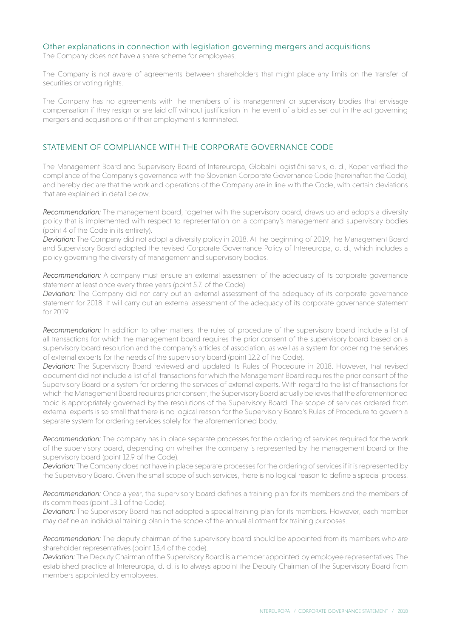### Other explanations in connection with legislation governing mergers and acquisitions

The Company does not have a share scheme for employees.

The Company is not aware of agreements between shareholders that might place any limits on the transfer of securities or voting rights.

The Company has no agreements with the members of its management or supervisory bodies that envisage compensation if they resign or are laid off without justification in the event of a bid as set out in the act governing mergers and acquisitions or if their employment is terminated.

# STATEMENT OF COMPLIANCE WITH THE CORPORATE GOVERNANCE CODE

The Management Board and Supervisory Board of Intereuropa, Globalni logistični servis, d. d., Koper verified the compliance of the Company's governance with the Slovenian Corporate Governance Code (hereinafter: the Code), and hereby declare that the work and operations of the Company are in line with the Code, with certain deviations that are explained in detail below.

*Recommendation:* The management board, together with the supervisory board, draws up and adopts a diversity policy that is implemented with respect to representation on a company's management and supervisory bodies (point 4 of the Code in its entirety).

*Deviation:* The Company did not adopt a diversity policy in 2018. At the beginning of 2019, the Management Board and Supervisory Board adopted the revised Corporate Governance Policy of Intereuropa, d. d., which includes a policy governing the diversity of management and supervisory bodies.

*Recommendation:* A company must ensure an external assessment of the adequacy of its corporate governance statement at least once every three years (point 5.7. of the Code)

*Deviation:* The Company did not carry out an external assessment of the adequacy of its corporate governance statement for 2018. It will carry out an external assessment of the adequacy of its corporate governance statement for 2019.

*Recommendation:* In addition to other matters, the rules of procedure of the supervisory board include a list of all transactions for which the management board requires the prior consent of the supervisory board based on a supervisory board resolution and the company's articles of association, as well as a system for ordering the services of external experts for the needs of the supervisory board (point 12.2 of the Code).

*Deviation:* The Supervisory Board reviewed and updated its Rules of Procedure in 2018. However, that revised document did not include a list of all transactions for which the Management Board requires the prior consent of the Supervisory Board or a system for ordering the services of external experts. With regard to the list of transactions for which the Management Board requires prior consent, the Supervisory Board actually believes that the aforementioned topic is appropriately governed by the resolutions of the Supervisory Board. The scope of services ordered from external experts is so small that there is no logical reason for the Supervisory Board's Rules of Procedure to govern a separate system for ordering services solely for the aforementioned body.

*Recommendation:* The company has in place separate processes for the ordering of services required for the work of the supervisory board, depending on whether the company is represented by the management board or the supervisory board (point 12.9 of the Code).

*Deviation:* The Company does not have in place separate processes for the ordering of services if it is represented by the Supervisory Board. Given the small scope of such services, there is no logical reason to define a special process.

*Recommendation:* Once a year, the supervisory board defines a training plan for its members and the members of its committees (point 13.1 of the Code).

*Deviation:* The Supervisory Board has not adopted a special training plan for its members. However, each member may define an individual training plan in the scope of the annual allotment for training purposes.

*Recommendation:* The deputy chairman of the supervisory board should be appointed from its members who are shareholder representatives (point 15.4 of the code).

*Deviation:* The Deputy Chairman of the Supervisory Board is a member appointed by employee representatives. The established practice at Intereuropa, d. d. is to always appoint the Deputy Chairman of the Supervisory Board from members appointed by employees.